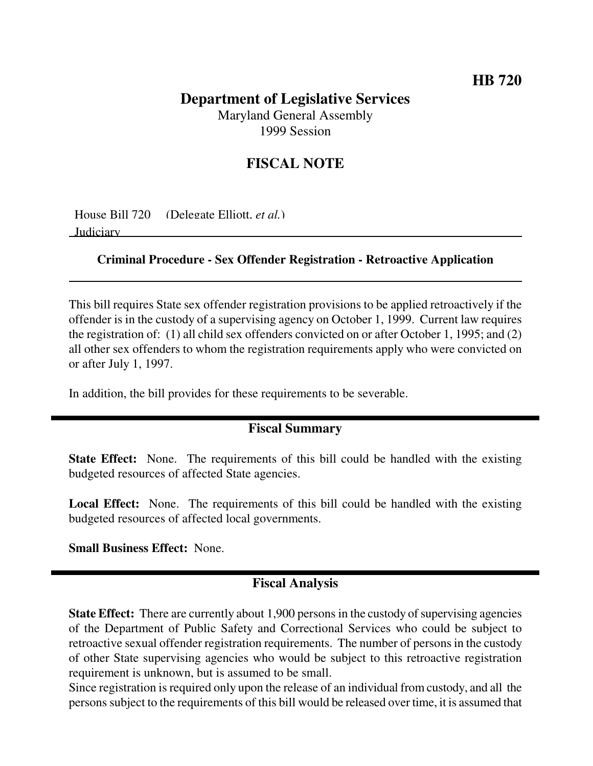# **Department of Legislative Services**

Maryland General Assembly 1999 Session

# **FISCAL NOTE**

House Bill 720 (Delegate Elliott, *et al.*) Judiciary

#### **Criminal Procedure - Sex Offender Registration - Retroactive Application**

This bill requires State sex offender registration provisions to be applied retroactively if the offender is in the custody of a supervising agency on October 1, 1999. Current law requires the registration of: (1) all child sex offenders convicted on or after October 1, 1995; and (2) all other sex offenders to whom the registration requirements apply who were convicted on or after July 1, 1997.

In addition, the bill provides for these requirements to be severable.

## **Fiscal Summary**

**State Effect:** None. The requirements of this bill could be handled with the existing budgeted resources of affected State agencies.

**Local Effect:** None. The requirements of this bill could be handled with the existing budgeted resources of affected local governments.

**Small Business Effect:** None.

## **Fiscal Analysis**

**State Effect:** There are currently about 1,900 persons in the custody of supervising agencies of the Department of Public Safety and Correctional Services who could be subject to retroactive sexual offender registration requirements. The number of persons in the custody of other State supervising agencies who would be subject to this retroactive registration requirement is unknown, but is assumed to be small.

Since registration is required only upon the release of an individual from custody, and all the persons subject to the requirements of this bill would be released over time, it is assumed that